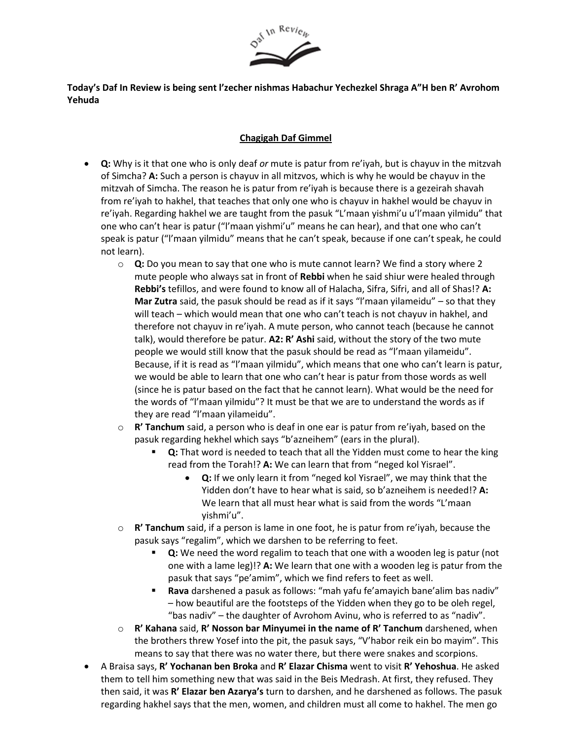

## **Today's Daf In Review is being sent l'zecher nishmas Habachur Yechezkel Shraga A"H ben R' Avrohom Yehuda**

## **Chagigah Daf Gimmel**

- **Q:** Why is it that one who is only deaf *or* mute is patur from re'iyah, but is chayuv in the mitzvah of Simcha? **A:** Such a person is chayuv in all mitzvos, which is why he would be chayuv in the mitzvah of Simcha. The reason he is patur from re'iyah is because there is a gezeirah shavah from re'iyah to hakhel, that teaches that only one who is chayuv in hakhel would be chayuv in re'iyah. Regarding hakhel we are taught from the pasuk "L'maan yishmi'u u'l'maan yilmidu" that one who can't hear is patur ("l'maan yishmi'u" means he can hear), and that one who can't speak is patur ("l'maan yilmidu" means that he can't speak, because if one can't speak, he could not learn).
	- o **Q:** Do you mean to say that one who is mute cannot learn? We find a story where 2 mute people who always sat in front of **Rebbi** when he said shiur were healed through **Rebbi's** tefillos, and were found to know all of Halacha, Sifra, Sifri, and all of Shas!? **A: Mar Zutra** said, the pasuk should be read as if it says "l'maan yilameidu" – so that they will teach – which would mean that one who can't teach is not chayuv in hakhel, and therefore not chayuv in re'iyah. A mute person, who cannot teach (because he cannot talk), would therefore be patur. **A2: R' Ashi** said, without the story of the two mute people we would still know that the pasuk should be read as "l'maan yilameidu". Because, if it is read as "l'maan yilmidu", which means that one who can't learn is patur, we would be able to learn that one who can't hear is patur from those words as well (since he is patur based on the fact that he cannot learn). What would be the need for the words of "l'maan yilmidu"? It must be that we are to understand the words as if they are read "l'maan yilameidu".
	- o **R' Tanchum** said, a person who is deaf in one ear is patur from re'iyah, based on the pasuk regarding hekhel which says "b'azneihem" (ears in the plural).
		- Q: That word is needed to teach that all the Yidden must come to hear the king read from the Torah!? **A:** We can learn that from "neged kol Yisrael".
			- **Q:** If we only learn it from "neged kol Yisrael", we may think that the Yidden don't have to hear what is said, so b'azneihem is needed!? **A:** We learn that all must hear what is said from the words "L'maan yishmi'u".
	- o **R' Tanchum** said, if a person is lame in one foot, he is patur from re'iyah, because the pasuk says "regalim", which we darshen to be referring to feet.
		- **Q:** We need the word regalim to teach that one with a wooden leg is patur (not one with a lame leg)!? **A:** We learn that one with a wooden leg is patur from the pasuk that says "pe'amim", which we find refers to feet as well.
		- Rava darshened a pasuk as follows: "mah yafu fe'amayich bane'alim bas nadiv" – how beautiful are the footsteps of the Yidden when they go to be oleh regel, "bas nadiv" – the daughter of Avrohom Avinu, who is referred to as "nadiv".
	- o **R' Kahana** said, **R' Nosson bar Minyumei in the name of R' Tanchum** darshened, when the brothers threw Yosef into the pit, the pasuk says, "V'habor reik ein bo mayim". This means to say that there was no water there, but there were snakes and scorpions.
- A Braisa says, **R' Yochanan ben Broka** and **R' Elazar Chisma** went to visit **R' Yehoshua**. He asked them to tell him something new that was said in the Beis Medrash. At first, they refused. They then said, it was **R' Elazar ben Azarya's** turn to darshen, and he darshened as follows. The pasuk regarding hakhel says that the men, women, and children must all come to hakhel. The men go